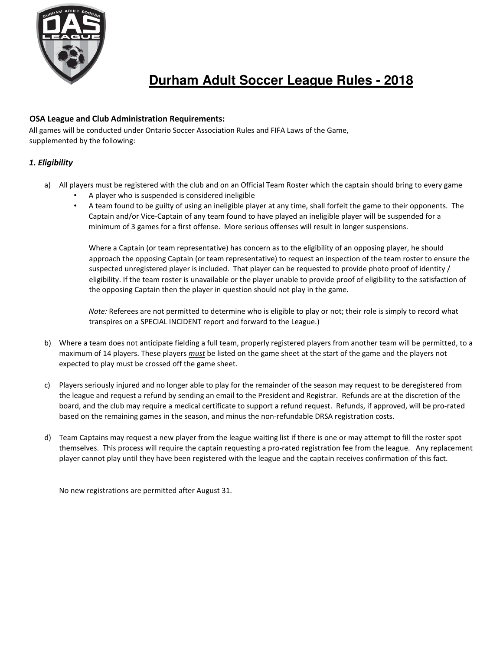

# OSA League and Club Administration Requirements:

All games will be conducted under Ontario Soccer Association Rules and FIFA Laws of the Game, supplemented by the following:

# 1. Eligibility

- a) All players must be registered with the club and on an Official Team Roster which the captain should bring to every game
	- A player who is suspended is considered ineligible
	- A team found to be guilty of using an ineligible player at any time, shall forfeit the game to their opponents. The Captain and/or Vice-Captain of any team found to have played an ineligible player will be suspended for a minimum of 3 games for a first offense. More serious offenses will result in longer suspensions.

Where a Captain (or team representative) has concern as to the eligibility of an opposing player, he should approach the opposing Captain (or team representative) to request an inspection of the team roster to ensure the suspected unregistered player is included. That player can be requested to provide photo proof of identity / eligibility. If the team roster is unavailable or the player unable to provide proof of eligibility to the satisfaction of the opposing Captain then the player in question should not play in the game.

Note: Referees are not permitted to determine who is eligible to play or not; their role is simply to record what transpires on a SPECIAL INCIDENT report and forward to the League.)

- b) Where a team does not anticipate fielding a full team, properly registered players from another team will be permitted, to a maximum of 14 players. These players must be listed on the game sheet at the start of the game and the players not expected to play must be crossed off the game sheet.
- c) Players seriously injured and no longer able to play for the remainder of the season may request to be deregistered from the league and request a refund by sending an email to the President and Registrar. Refunds are at the discretion of the board, and the club may require a medical certificate to support a refund request. Refunds, if approved, will be pro-rated based on the remaining games in the season, and minus the non-refundable DRSA registration costs.
- d) Team Captains may request a new player from the league waiting list if there is one or may attempt to fill the roster spot themselves. This process will require the captain requesting a pro-rated registration fee from the league. Any replacement player cannot play until they have been registered with the league and the captain receives confirmation of this fact.

No new registrations are permitted after August 31.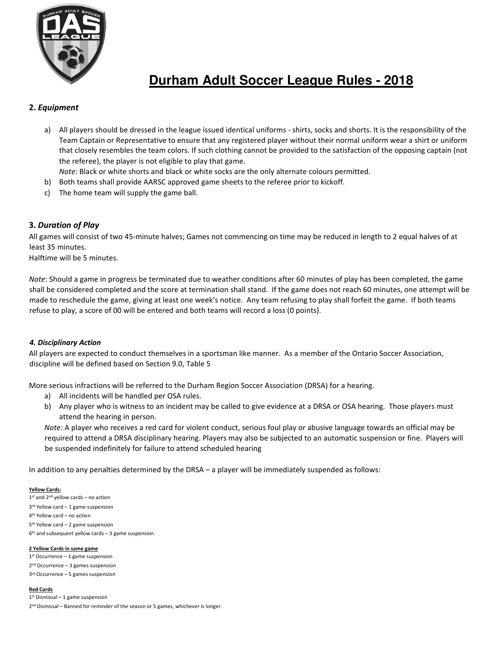

### 2. Equipment

a) All players should be dressed in the league issued identical uniforms - shirts, socks and shorts. It is the responsibility of the Team Captain or Representative to ensure that any registered player without their normal uniform wear a shirt or uniform that closely resembles the team colors. If such clothing cannot be provided to the satisfaction of the opposing captain (not the referee), the player is not eligible to play that game.

Note: Black or white shorts and black or white socks are the only alternate colours permitted.

- b) Both teams shall provide AARSC approved game sheets to the referee prior to kickoff.
- c) The home team will supply the game ball.

### 3. Duration of Play

All games will consist of two 45-minute halves; Games not commencing on time may be reduced in length to 2 equal halves of at least 35 minutes.

Halftime will be 5 minutes.

Note: Should a game in progress be terminated due to weather conditions after 60 minutes of play has been completed, the game shall be considered completed and the score at termination shall stand. If the game does not reach 60 minutes, one attempt will be made to reschedule the game, giving at least one week's notice. Any team refusing to play shall forfeit the game. If both teams refuse to play, a score of 00 will be entered and both teams will record a loss (0 points).

#### 4. Disciplinary Action

All players are expected to conduct themselves in a sportsman like manner. As a member of the Ontario Soccer Association, discipline will be defined based on Section 9.0, Table 5

More serious infractions will be referred to the Durham Region Soccer Association (DRSA) for a hearing.

- a) All incidents will be handled per OSA rules.
- b) Any player who is witness to an incident may be called to give evidence at a DRSA or OSA hearing. Those players must attend the hearing in person.

Note: A player who receives a red card for violent conduct, serious foul play or abusive language towards an official may be required to attend a DRSA disciplinary hearing. Players may also be subjected to an automatic suspension or fine. Players will be suspended indefinitely for failure to attend scheduled hearing

In addition to any penalties determined by the DRSA – a player will be immediately suspended as follows:

Yellow Cards: 1<sup>st</sup> and 2<sup>nd</sup> yellow cards - no action 3 rd Yellow card – 1 game suspension 4 th Yellow card – no action 5 th Yellow card – 2 game suspension

6 th and subsequent yellow cards – 3 game suspension

#### 2 Yellow Cards in same game

1 st Occurrence – 1 game suspension 2 nd Occurrence – 3 games suspension 3<sup>rd</sup> Occurrence - 5 games suspension

Red Cards

1 st Dismissal – 1 game suspension 2<sup>nd</sup> Dismissal - Banned for reminder of the season or 5 games, whichever is longer.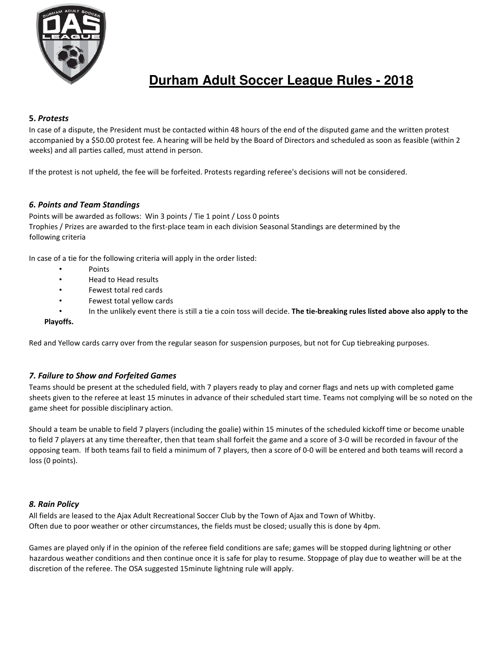

### 5. Protests

In case of a dispute, the President must be contacted within 48 hours of the end of the disputed game and the written protest accompanied by a \$50.00 protest fee. A hearing will be held by the Board of Directors and scheduled as soon as feasible (within 2 weeks) and all parties called, must attend in person.

If the protest is not upheld, the fee will be forfeited. Protests regarding referee's decisions will not be considered.

### 6. Points and Team Standings

Points will be awarded as follows: Win 3 points / Tie 1 point / Loss 0 points Trophies / Prizes are awarded to the first-place team in each division Seasonal Standings are determined by the following criteria

In case of a tie for the following criteria will apply in the order listed:

- Points
- Head to Head results
- Fewest total red cards
- Fewest total yellow cards
- In the unlikely event there is still a tie a coin toss will decide. The tie-breaking rules listed above also apply to the

#### Playoffs.

Red and Yellow cards carry over from the regular season for suspension purposes, but not for Cup tiebreaking purposes.

#### 7. Failure to Show and Forfeited Games

Teams should be present at the scheduled field, with 7 players ready to play and corner flags and nets up with completed game sheets given to the referee at least 15 minutes in advance of their scheduled start time. Teams not complying will be so noted on the game sheet for possible disciplinary action.

Should a team be unable to field 7 players (including the goalie) within 15 minutes of the scheduled kickoff time or become unable to field 7 players at any time thereafter, then that team shall forfeit the game and a score of 3-0 will be recorded in favour of the opposing team. If both teams fail to field a minimum of 7 players, then a score of 0-0 will be entered and both teams will record a loss (0 points).

#### 8. Rain Policy

All fields are leased to the Ajax Adult Recreational Soccer Club by the Town of Ajax and Town of Whitby. Often due to poor weather or other circumstances, the fields must be closed; usually this is done by 4pm.

Games are played only if in the opinion of the referee field conditions are safe; games will be stopped during lightning or other hazardous weather conditions and then continue once it is safe for play to resume. Stoppage of play due to weather will be at the discretion of the referee. The OSA suggested 15minute lightning rule will apply.